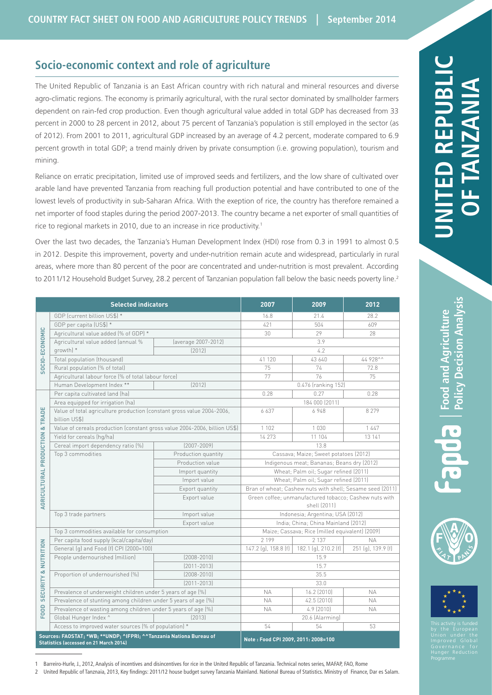# **Socio-economic context and role of agriculture**

The United Republic of Tanzania is an East African country with rich natural and mineral resources and diverse agro-climatic regions. The economy is primarily agricultural, with the rural sector dominated by smallholder farmers dependent on rain-fed crop production. Even though agricultural value added in total GDP has decreased from 33 percent in 2000 to 28 percent in 2012, about 75 percent of Tanzania's population is still employed in the sector (as of 2012). From 2001 to 2011, agricultural GDP increased by an average of 4.2 percent, moderate compared to 6.9 percent growth in total GDP; a trend mainly driven by private consumption (i.e. growing population), tourism and mining.

Reliance on erratic precipitation, limited use of improved seeds and fertilizers, and the low share of cultivated over arable land have prevented Tanzania from reaching full production potential and have contributed to one of the lowest levels of productivity in sub-Saharan Africa. With the exeption of rice, the country has therefore remained a net importer of food staples during the period 2007-2013. The country became a net exporter of small quantities of rice to regional markets in 2010, due to an increase in rice productivity.<sup>1</sup>

Over the last two decades, the Tanzania's Human Development Index (HDI) rose from 0.3 in 1991 to almost 0.5 in 2012. Despite this improvement, poverty and under-nutrition remain acute and widespread, particularly in rural areas, where more than 80 percent of the poor are concentrated and under-nutrition is most prevalent. According to 2011/12 Household Budget Survey, 28.2 percent of Tanzanian population fall below the basic needs poverty line.<sup>2</sup>

| <b>Selected indicators</b>                                                                                           |                                                                                         |                     | 2007                                                      | 2009                 | 2012               |
|----------------------------------------------------------------------------------------------------------------------|-----------------------------------------------------------------------------------------|---------------------|-----------------------------------------------------------|----------------------|--------------------|
| SOCIO-ECONOMIC                                                                                                       | GDP (current billion US\$) *                                                            |                     | 16.8                                                      | 21.4                 | 28.2               |
|                                                                                                                      | GDP per capita (US\$) *                                                                 |                     | 421                                                       | 504                  | 609                |
|                                                                                                                      | Agricultural value added (% of GDP) *                                                   |                     | 30                                                        | 29                   | 28                 |
|                                                                                                                      | Agricultural value added (annual %                                                      | (average 2007-2012) | 3.9                                                       |                      |                    |
|                                                                                                                      | growth) *                                                                               | [2012]              |                                                           | 4.2                  |                    |
|                                                                                                                      | Total population (thousand)                                                             |                     | 41 120                                                    | 43 640               | 44 928^^           |
|                                                                                                                      | Rural population (% of total)                                                           |                     | 75                                                        | 74                   | 72.8               |
|                                                                                                                      | Agricultural labour force (% of total labour force)                                     |                     | 77                                                        | 76                   | 75                 |
|                                                                                                                      | Human Development Index **<br>[2012]                                                    |                     | 0.476 (ranking 152)                                       |                      |                    |
| ш<br>TRADI<br>ŏ<br><b>AGRICULTURAL PRODUCTION</b>                                                                    | Per capita cultivated land (ha)                                                         |                     | 0.28                                                      | 0.27                 | 0.28               |
|                                                                                                                      | Area equipped for irrigation (ha)                                                       |                     | 184 000 (2011)                                            |                      |                    |
|                                                                                                                      | Value of total agriculture production (constant gross value 2004-2006,<br>billion US\$) |                     | 6637                                                      | 6948                 | 8 2 7 9            |
|                                                                                                                      | Value of cereals production (constant gross value 2004-2006, billion US\$)              |                     | 1 1 0 2                                                   | 1 0 3 0              | 1447               |
|                                                                                                                      | Yield for cereals (hg/ha)                                                               |                     | 14 273                                                    | 11 104               | 13 14 1            |
|                                                                                                                      | Cereal import dependency ratio [%]                                                      | $(2007 - 2009)$     | 13.8                                                      |                      |                    |
|                                                                                                                      | Top 3 commodities                                                                       | Production quantity | Cassava; Maize; Sweet potatoes (2012)                     |                      |                    |
|                                                                                                                      |                                                                                         | Production value    | Indigenous meat; Bananas; Beans dry (2012)                |                      |                    |
|                                                                                                                      |                                                                                         | Import quantity     | Wheat; Palm oil; Sugar refined (2011)                     |                      |                    |
|                                                                                                                      |                                                                                         | Import value        | Wheat; Palm oil; Sugar refined (2011)                     |                      |                    |
|                                                                                                                      |                                                                                         | Export quantity     | Bran of wheat; Cashew nuts with shell; Sesame seed (2011) |                      |                    |
|                                                                                                                      |                                                                                         | Export value        | Green coffee; unmanufactured tobacco; Cashew nuts with    |                      |                    |
|                                                                                                                      |                                                                                         |                     | shell (2011)                                              |                      |                    |
|                                                                                                                      | Top 3 trade partners                                                                    | Import value        | Indonesia; Argentina; USA (2012)                          |                      |                    |
|                                                                                                                      |                                                                                         | Export value        | India; China; China Mainland (2012)                       |                      |                    |
| <b>SECURITY &amp; NUTRITION</b><br>$\Box$<br><b>POOI</b>                                                             | Top 3 commodities available for consumption                                             |                     | Maize; Cassava; Rice (milled equivalent) (2009)           |                      |                    |
|                                                                                                                      | Per capita food supply (kcal/capita/day)                                                |                     | 2 199                                                     | 2 1 3 7              | <b>NA</b>          |
|                                                                                                                      | General (g) and Food (f) CPI (2000=100)                                                 |                     | 147.2 (g), 158.8 (f)                                      | 182.1 (g), 210.2 (f) | 251 (g), 139.9 (f) |
|                                                                                                                      | People undernourished (million)                                                         | $(2008 - 2010)$     | 15.9                                                      |                      |                    |
|                                                                                                                      |                                                                                         | $[2011 - 2013]$     | 15.7                                                      |                      |                    |
|                                                                                                                      | Proportion of undernourished (%)                                                        | $(2008 - 2010)$     | 35.5                                                      |                      |                    |
|                                                                                                                      | $[2011 - 2013]$                                                                         |                     | 33.0                                                      |                      |                    |
|                                                                                                                      | Prevalence of underweight children under 5 years of age (%)                             |                     | <b>NA</b>                                                 | 16.2 (2010)          | <b>NA</b>          |
|                                                                                                                      | Prevalence of stunting among children under 5 years of age (%)                          |                     | <b>NA</b>                                                 | 42.5 (2010)          | NА                 |
|                                                                                                                      | Prevalence of wasting among children under 5 years of age (%)                           |                     | <b>NA</b><br>4.9 (2010)<br><b>NA</b>                      |                      |                    |
|                                                                                                                      | Global Hunger Index ^                                                                   | [2013]              | 20.6 (Alarming)                                           |                      |                    |
|                                                                                                                      | Access to improved water sources (% of population) *                                    |                     | 54                                                        | 54                   | 53                 |
| Sources: FAOSTAT; *WB; **UNDP; ^IFPRI; ^^Tanzania Nationa Bureau of<br><b>Statistics (accessed on 21 March 2014)</b> |                                                                                         |                     | Note: Food CPI 2009, 2011: 2008=100                       |                      |                    |







1 Barreiro-Hurle, J., 2012, Analysis of incentives and disincentives for rice in the United Republic of Tanzania. Technical notes series, MAFAP, FAO, Rome

2 United Republic of Tanznaia, 2013, Key findings: 2011/12 house budget survey Tanzania Mainland. National Bureau of Statistics. Ministry of Finance, Dar es Salam.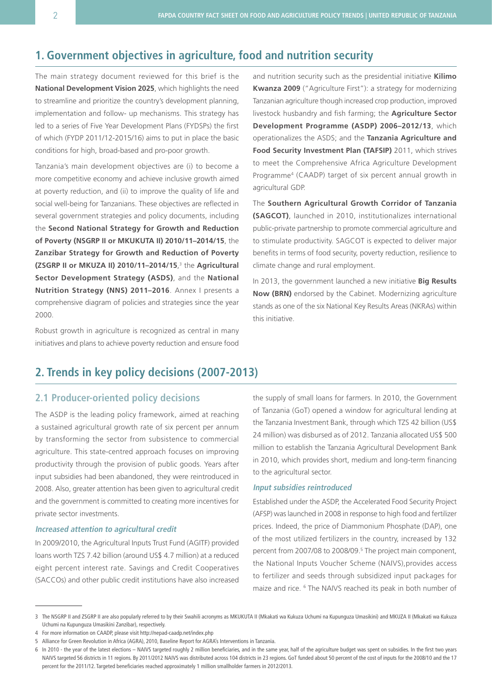# **1. Government objectives in agriculture, food and nutrition security**

The main strategy document reviewed for this brief is the **National Development Vision 2025**, which highlights the need to streamline and prioritize the country's development planning, implementation and follow- up mechanisms. This strategy has led to a series of Five Year Development Plans (FYDSPs) the first of which (FYDP 2011/12-2015/16) aims to put in place the basic conditions for high, broad-based and pro-poor growth.

Tanzania's main development objectives are (i) to become a more competitive economy and achieve inclusive growth aimed at poverty reduction, and (ii) to improve the quality of life and social well-being for Tanzanians. These objectives are reflected in several government strategies and policy documents, including the **Second National Strategy for Growth and Reduction of Poverty (NSGRP II or MKUKUTA II) 2010/11–2014/15**, the **Zanzibar Strategy for Growth and Reduction of Poverty (ZSGRP II or MKUZA II) 2010/11–2014/15**, 3 the **Agricultural Sector Development Strategy (ASDS)**, and the **National Nutrition Strategy (NNS) 2011–2016**. Annex I presents a comprehensive diagram of policies and strategies since the year 2000.

Robust growth in agriculture is recognized as central in many initiatives and plans to achieve poverty reduction and ensure food and nutrition security such as the presidential initiative **Kilimo Kwanza 2009** ("Agriculture First"): a strategy for modernizing Tanzanian agriculture though increased crop production, improved livestock husbandry and fish farming; the **Agriculture Sector Development Programme (ASDP) 2006–2012/13**, which operationalizes the ASDS; and the **Tanzania Agriculture and Food Security Investment Plan (TAFSIP)** 2011, which strives to meet the Comprehensive Africa Agriculture Development Programme4 (CAADP) target of six percent annual growth in agricultural GDP.

The **Southern Agricultural Growth Corridor of Tanzania (SAGCOT)**, launched in 2010, institutionalizes international public-private partnership to promote commercial agriculture and to stimulate productivity. SAGCOT is expected to deliver major benefits in terms of food security, poverty reduction, resilience to climate change and rural employment.

In 2013, the government launched a new initiative **Big Results Now (BRN)** endorsed by the Cabinet. Modernizing agriculture stands as one of the six National Key Results Areas (NKRAs) within this initiative.

## **2. Trends in key policy decisions (2007-2013)**

## **2.1 Producer-oriented policy decisions**

The ASDP is the leading policy framework, aimed at reaching a sustained agricultural growth rate of six percent per annum by transforming the sector from subsistence to commercial agriculture. This state-centred approach focuses on improving productivity through the provision of public goods. Years after input subsidies had been abandoned, they were reintroduced in 2008. Also, greater attention has been given to agricultural credit and the government is committed to creating more incentives for private sector investments.

#### **Increased attention to agricultural credit**

In 2009/2010, the Agricultural Inputs Trust Fund (AGITF) provided loans worth TZS 7.42 billion (around US\$ 4.7 million) at a reduced eight percent interest rate. Savings and Credit Cooperatives (SACCOs) and other public credit institutions have also increased

the supply of small loans for farmers. In 2010, the Government of Tanzania (GoT) opened a window for agricultural lending at the Tanzania Investment Bank, through which TZS 42 billion (US\$ 24 million) was disbursed as of 2012. Tanzania allocated US\$ 500 million to establish the Tanzania Agricultural Development Bank in 2010, which provides short, medium and long-term financing to the agricultural sector.

#### **Input subsidies reintroduced**

Established under the ASDP, the Accelerated Food Security Project (AFSP) was launched in 2008 in response to high food and fertilizer prices. Indeed, the price of Diammonium Phosphate (DAP), one of the most utilized fertilizers in the country, increased by 132 percent from 2007/08 to 2008/09.<sup>5</sup> The project main component, the National Inputs Voucher Scheme (NAIVS),provides access to fertilizer and seeds through subsidized input packages for maize and rice. 6 The NAIVS reached its peak in both number of

<sup>3</sup> The NSGRP II and ZSGRP II are also popularly referred to by their Swahili acronyms as MKUKUTA II (Mkakati wa Kukuza Uchumi na Kupunguza Umasikini) and MKUZA II (Mkakati wa Kukuza Uchumi na Kupunguza Umasikini Zanzibar), respectively.

<sup>4</sup> For more information on CAADP, please visit <http://nepad-caadp.net/index.php>

<sup>5</sup> Alliance for Green Revolution in Africa (AGRA), 2010, Baseline Report for AGRA's Interventions in Tanzania.

<sup>6</sup> In 2010 - the year of the latest elections – NAIVS targeted roughly 2 million beneficiaries, and in the same year, half of the agriculture budget was spent on subsidies. In the first two years NAIVS targeted 56 districts in 11 regions. By 2011/2012 NAIVS was distributed across 104 districts in 23 regions. GoT funded about 50 percent of the cost of inputs for the 2008/10 and the 17 percent for the 2011/12. Targeted beneficiaries reached approximately 1 million smallholder farmers in 2012/2013.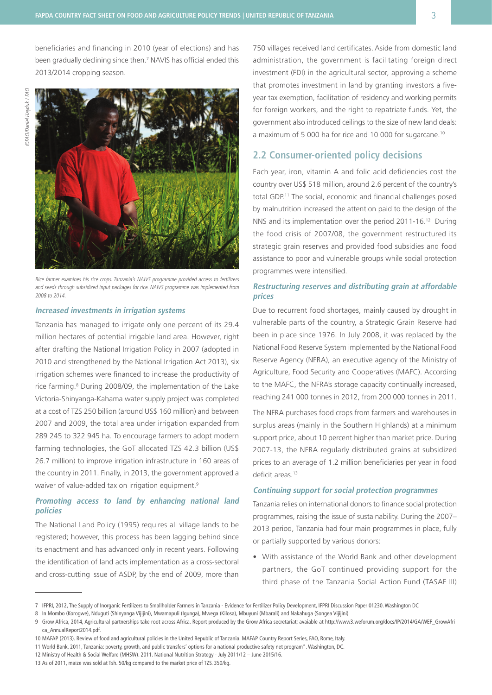beneficiaries and financing in 2010 (year of elections) and has been gradually declining since then.<sup>7</sup> NAVIS has official ended this 2013/2014 cropping season.



Rice farmer examines his rice crops. Tanzania's NAIVS programme provided access to fertilizers and seeds through subsidized input packages for rice. NAIVS programme was implemented from 2008 to 2014.

## **Increased investments in irrigation systems**

Tanzania has managed to irrigate only one percent of its 29.4 million hectares of potential irrigable land area. However, right after drafting the National Irrigation Policy in 2007 (adopted in 2010 and strengthened by the National Irrigation Act 2013), six irrigation schemes were financed to increase the productivity of rice farming.<sup>8</sup> During 2008/09, the implementation of the Lake Victoria-Shinyanga-Kahama water supply project was completed at a cost of TZS 250 billion (around US\$ 160 million) and between 2007 and 2009, the total area under irrigation expanded from 289 245 to 322 945 ha. To encourage farmers to adopt modern farming technologies, the GoT allocated TZS 42.3 billion (US\$ 26.7 million) to improve irrigation infrastructure in 160 areas of the country in 2011. Finally, in 2013, the government approved a waiver of value-added tax on irrigation equipment.<sup>9</sup>

## **Promoting access to land by enhancing national land policies**

The National Land Policy (1995) requires all village lands to be registered; however, this process has been lagging behind since its enactment and has advanced only in recent years. Following the identification of land acts implementation as a cross-sectoral and cross-cutting issue of ASDP, by the end of 2009, more than

750 villages received land certificates. Aside from domestic land administration, the government is facilitating foreign direct investment (FDI) in the agricultural sector, approving a scheme that promotes investment in land by granting investors a fiveyear tax exemption, facilitation of residency and working permits for foreign workers, and the right to repatriate funds. Yet, the government also introduced ceilings to the size of new land deals: a maximum of 5 000 ha for rice and 10 000 for sugarcane.10

## **2.2 Consumer-oriented policy decisions**

Each year, iron, vitamin A and folic acid deficiencies cost the country over US\$ 518 million, around 2.6 percent of the country's total GDP.11 The social, economic and financial challenges posed by malnutrition increased the attention paid to the design of the NNS and its implementation over the period 2011-16.12 During the food crisis of 2007/08, the government restructured its strategic grain reserves and provided food subsidies and food assistance to poor and vulnerable groups while social protection programmes were intensified.

## **Restructuring reserves and distributing grain at affordable prices**

Due to recurrent food shortages, mainly caused by drought in vulnerable parts of the country, a Strategic Grain Reserve had been in place since 1976. In July 2008, it was replaced by the National Food Reserve System implemented by the National Food Reserve Agency (NFRA), an executive agency of the Ministry of Agriculture, Food Security and Cooperatives (MAFC). According to the MAFC, the NFRA's storage capacity continually increased, reaching 241 000 tonnes in 2012, from 200 000 tonnes in 2011.

The NFRA purchases food crops from farmers and warehouses in surplus areas (mainly in the Southern Highlands) at a minimum support price, about 10 percent higher than market price. During 2007-13, the NFRA regularly distributed grains at subsidized prices to an average of 1.2 million beneficiaries per year in food deficit areas.<sup>13</sup>

#### **Continuing support for social protection programmes**

Tanzania relies on international donors to finance social protection programmes, raising the issue of sustainability. During the 2007– 2013 period, Tanzania had four main programmes in place, fully or partially supported by various donors:

• With assistance of the World Bank and other development partners, the GoT continued providing support for the third phase of the Tanzania Social Action Fund (TASAF III)

<sup>7</sup> IFPRI, 2012, The Supply of Inorganic Fertilizers to Smallholder Farmers in Tanzania - Evidence for Fertilizer Policy Development, IFPRI Discussion Paper 01230. Washington DC

<sup>8</sup> In Mombo (Korogwe), Nduguti (Shinyanga Vijijini), Mwamapuli (Igunga), Mwega (Kilosa), Mbuyuni (Mbarali) and Nakahuga (Songea Vijijini)

<sup>9</sup> Grow Africa, 2014, Agricultural partnerships take root across Africa. Report produced by the Grow Africa secretariat; avaiable at [http://www3.weforum.org/docs/IP/2014/GA/WEF\\_GrowAfri](http://www3.weforum.org/docs/IP/2014/GA/WEF_GrowAfrica_AnnualReport2014.pdf)[ca\\_AnnualReport2014.pdf](http://www3.weforum.org/docs/IP/2014/GA/WEF_GrowAfrica_AnnualReport2014.pdf).

<sup>10</sup> MAFAP (2013). Review of food and agricultural policies in the United Republic of Tanzania. MAFAP Country Report Series, FAO, Rome, Italy.

<sup>11</sup> World Bank, 2011, Tanzania: poverty, growth, and public transfers' options for a national productive safety net program". Washington, DC.

<sup>12</sup> Ministry of Health & Social Welfare (MHSW). 2011. National Nutrition Strategy - July 2011/12 – June 2015/16.

<sup>13</sup> As of 2011, maize was sold at Tsh. 50/kg compared to the market price of TZS. 350/kg.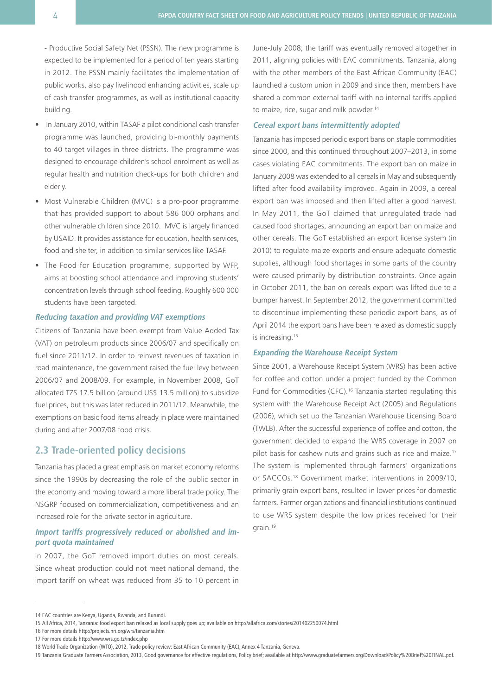- Productive Social Safety Net (PSSN). The new programme is expected to be implemented for a period of ten years starting in 2012. The PSSN mainly facilitates the implementation of public works, also pay livelihood enhancing activities, scale up of cash transfer programmes, as well as institutional capacity building.

- In January 2010, within TASAF a pilot conditional cash transfer programme was launched, providing bi-monthly payments to 40 target villages in three districts. The programme was designed to encourage children's school enrolment as well as regular health and nutrition check-ups for both children and elderly.
- Most Vulnerable Children (MVC) is a pro-poor programme that has provided support to about 586 000 orphans and other vulnerable children since 2010. MVC is largely financed by USAID. It provides assistance for education, health services, food and shelter, in addition to similar services like TASAF.
- The Food for Education programme, supported by WFP, aims at boosting school attendance and improving students' concentration levels through school feeding. Roughly 600 000 students have been targeted.

#### **Reducing taxation and providing VAT exemptions**

Citizens of Tanzania have been exempt from Value Added Tax (VAT) on petroleum products since 2006/07 and specifically on fuel since 2011/12. In order to reinvest revenues of taxation in road maintenance, the government raised the fuel levy between 2006/07 and 2008/09. For example, in November 2008, GoT allocated TZS 17.5 billion (around US\$ 13.5 million) to subsidize fuel prices, but this was later reduced in 2011/12. Meanwhile, the exemptions on basic food items already in place were maintained during and after 2007/08 food crisis.

## **2.3 Trade-oriented policy decisions**

Tanzania has placed a great emphasis on market economy reforms since the 1990s by decreasing the role of the public sector in the economy and moving toward a more liberal trade policy. The NSGRP focused on commercialization, competitiveness and an increased role for the private sector in agriculture.

## **Import tariffs progressively reduced or abolished and import quota maintained**

In 2007, the GoT removed import duties on most cereals. Since wheat production could not meet national demand, the import tariff on wheat was reduced from 35 to 10 percent in June-July 2008; the tariff was eventually removed altogether in 2011, aligning policies with EAC commitments. Tanzania, along with the other members of the East African Community (EAC) launched a custom union in 2009 and since then, members have shared a common external tariff with no internal tariffs applied to maize, rice, sugar and milk powder.<sup>14</sup>

#### **Cereal export bans intermittently adopted**

Tanzania has imposed periodic export bans on staple commodities since 2000, and this continued throughout 2007–2013, in some cases violating EAC commitments. The export ban on maize in January 2008 was extended to all cereals in May and subsequently lifted after food availability improved. Again in 2009, a cereal export ban was imposed and then lifted after a good harvest. In May 2011, the GoT claimed that unregulated trade had caused food shortages, announcing an export ban on maize and other cereals. The GoT established an export license system (in 2010) to regulate maize exports and ensure adequate domestic supplies, although food shortages in some parts of the country were caused primarily by distribution constraints. Once again in October 2011, the ban on cereals export was lifted due to a bumper harvest. In September 2012, the government committed to discontinue implementing these periodic export bans, as of April 2014 the export bans have been relaxed as domestic supply is increasing.<sup>15</sup>

#### **Expanding the Warehouse Receipt System**

Since 2001, a Warehouse Receipt System (WRS) has been active for coffee and cotton under a project funded by the Common Fund for Commodities (CFC).<sup>16</sup> Tanzania started regulating this system with the Warehouse Receipt Act (2005) and Regulations (2006), which set up the Tanzanian Warehouse Licensing Board (TWLB). After the successful experience of coffee and cotton, the government decided to expand the WRS coverage in 2007 on pilot basis for cashew nuts and grains such as rice and maize.17 The system is implemented through farmers' organizations or SACCOs.18 Government market interventions in 2009/10, primarily grain export bans, resulted in lower prices for domestic farmers. Farmer organizations and financial institutions continued to use WRS system despite the low prices received for their grain.19

<sup>14</sup> EAC countries are Kenya, Uganda, Rwanda, and Burundi.

<sup>15</sup> All Africa, 2014, Tanzania: food export ban relaxed as local supply goes up; available on<http://allafrica.com/stories/201402250074.html>

<sup>16</sup> For more details<http://projects.nri.org/wrs/tanzania.htm>

<sup>17</sup> For more details<http://www.wrs.go.tz/index.php>

<sup>18</sup> World Trade Organization (WTO), 2012, Trade policy review: East African Community (EAC), Annex 4 Tanzania, Geneva.

<sup>19</sup> Tanzania Graduate Farmers Association, 2013, Good governance for effective regulations, Policy brief; available at [http://www.graduatefarmers.org/Download/Policy%20Brief%20FINAL.pdf](http://www.graduatefarmers.org/Download/Policy%2520Brief%2520FINAL.pdf%20).